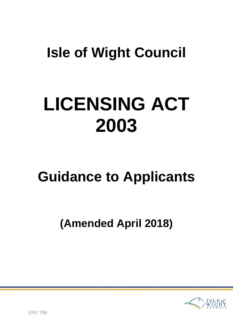## **Isle of Wight Council**

# **LICENSING ACT 2003**

## **Guidance to Applicants**

## **(Amended April 2018)**

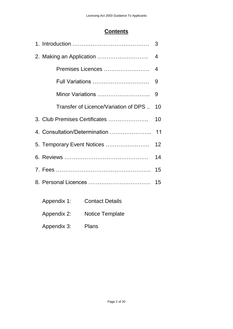## **Contents**

|                                               |                                      | 3  |
|-----------------------------------------------|--------------------------------------|----|
|                                               |                                      | 4  |
|                                               | Premises Licences                    | 4  |
|                                               | <b>Full Variations </b>              | 9  |
|                                               | Minor Variations                     | 9  |
|                                               | Transfer of Licence/Variation of DPS | 10 |
|                                               | 3. Club Premises Certificates        | 10 |
|                                               | 4. Consultation/Determination        | 11 |
| 12 <sub>2</sub><br>5. Temporary Event Notices |                                      |    |
|                                               |                                      | 14 |
|                                               |                                      | 15 |
|                                               |                                      | 15 |
|                                               |                                      |    |

| Appendix 1: | <b>Contact Details</b> |
|-------------|------------------------|
| Appendix 2: | <b>Notice Template</b> |
| Appendix 3: | <b>Plans</b>           |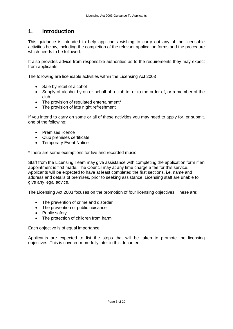## **1. Introduction**

This guidance is intended to help applicants wishing to carry out any of the licensable activities below, including the completion of the relevant application forms and the procedure which needs to be followed.

It also provides advice from responsible authorities as to the requirements they may expect from applicants.

The following are licensable activities within the Licensing Act 2003

- Sale by retail of alcohol
- Supply of alcohol by on or behalf of a club to, or to the order of, or a member of the club
- The provision of regulated entertainment\*
- The provision of late night refreshment

If you intend to carry on some or all of these activities you may need to apply for, or submit, one of the following:

- Premises licence
- Club premises certificate
- Temporary Event Notice

\*There are some exemptions for live and recorded music

Staff from the Licensing Team may give assistance with completing the application form if an appointment is first made. The Council may at any time charge a fee for this service. Applicants will be expected to have at least completed the first sections, i.e. name and address and details of premises, prior to seeking assistance. Licensing staff are unable to give any legal advice.

The Licensing Act 2003 focuses on the promotion of four licensing objectives. These are:

- The prevention of crime and disorder
- The prevention of public nuisance
- Public safety
- The protection of children from harm

Each objective is of equal importance.

Applicants are expected to list the steps that will be taken to promote the licensing objectives. This is covered more fully later in this document.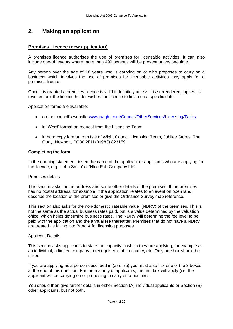## **2. Making an application**

#### **Premises Licence (new application)**

A premises licence authorises the use of premises for licensable activities. It can also include one-off events where more than 499 persons will be present at any one time.

Any person over the age of 18 years who is carrying on or who proposes to carry on a business which involves the use of premises for licensable activities may apply for a premises licence.

Once it is granted a premises licence is valid indefinitely unless it is surrendered, lapses, is revoked or if the licence holder wishes the licence to finish on a specific date.

Application forms are available;

- on the council's website [www.iwight.com/Council/OtherServices/Licensing/Tasks](http://www.iwight.com/Council/OtherServices/Licensing/Tasks)
- in 'Word' format on request from the Licensing Team
- in hard copy format from Isle of Wight Council Licensing Team, Jubilee Stores, The Quay, Newport, PO30 2EH (01983) 823159

#### **Completing the form**

In the opening statement, insert the name of the applicant or applicants who are applying for the licence, e.g. 'John Smith' or 'Nice Pub Company Ltd'.

#### Premises details

This section asks for the address and some other details of the premises. If the premises has no postal address, for example, if the application relates to an event on open land, describe the location of the premises or give the Ordnance Survey map reference.

This section also asks for the non-domestic rateable value (NDRV) of the premises. This is not the same as the actual business rates paid, but is a value determined by the valuation office, which helps determine business rates. The NDRV will determine the fee level to be paid with the application and the annual fee thereafter. Premises that do not have a NDRV are treated as falling into Band A for licensing purposes.

#### **Applicant Details**

This section asks applicants to state the capacity in which they are applying, for example as an individual, a limited company, a recognised club, a charity, etc. Only one box should be ticked.

If you are applying as a person described in (a) or (b) you must also tick one of the 3 boxes at the end of this question. For the majority of applicants, the first box will apply (i.e. the applicant will be carrying on or proposing to carry on a business.

You should then give further details in either Section (A) individual applicants or Section (B) other applicants, but not both.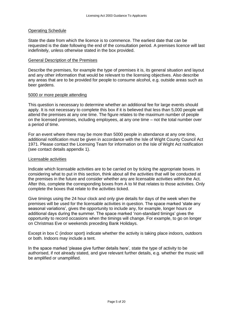#### Operating Schedule

State the date from which the licence is to commence. The earliest date that can be requested is the date following the end of the consultation period. A premises licence will last indefinitely, unless otherwise stated in the box provided.

#### General Description of the Premises

Describe the premises, for example the type of premises it is, its general situation and layout and any other information that would be relevant to the licensing objectives. Also describe any areas that are to be provided for people to consume alcohol, e.g. outside areas such as beer gardens.

#### 5000 or more people attending

This question is necessary to determine whether an additional fee for large events should apply. It is not necessary to complete this box if it is believed that less than 5,000 people will attend the premises at any one time. The figure relates to the maximum number of people on the licensed premises, including employees, at any one time – not the total number over a period of time.

For an event where there may be more than 5000 people in attendance at any one time, additional notification must be given in accordance with the Isle of Wight County Council Act 1971. Please contact the Licensing Team for information on the Isle of Wight Act notification (see contact details appendix 1).

#### Licensable activities

Indicate which licensable activities are to be carried on by ticking the appropriate boxes. In considering what to put in this section, think about all the activities that will be conducted at the premises in the future and consider whether any are licensable activities within the Act. After this, complete the corresponding boxes from A to M that relates to those activities. Only complete the boxes that relate to the activities ticked.

Give timings using the 24 hour clock and only give details for days of the week when the premises will be used for the licensable activities in question. The space marked 'state any seasonal variations', gives the opportunity to include any, for example, longer hours or additional days during the summer. The space marked 'non-standard timings' gives the opportunity to record occasions when the timings will change. For example, to go on longer on Christmas Eve or weekends preceding Bank Holidays.

Except in box C (indoor sport) indicate whether the activity is taking place indoors, outdoors or both. Indoors may include a tent.

In the space marked 'please give further details here', state the type of activity to be authorised, if not already stated, and give relevant further details, e.g. whether the music will be amplified or unamplified.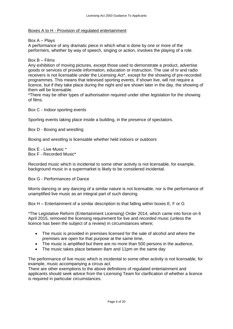#### Boxes A to H - Provision of regulated entertainment:

#### Box A – Plays

A performance of any dramatic piece in which what is done by one or more of the performers, whether by way of speech, singing or action, involves the playing of a role.

#### Box B – Films

Any exhibition of moving pictures, except those used to demonstrate a product, advertise goods or services of provide information, education or instruction. The use of tv and radio receivers is not licensable under the Licensing Act\*, except for the showing of pre-recorded programmes. This means that televised sporting events, if shown live, will not require a licence, but if they take place during the night and are shown later in the day, the showing of them will be licensable.

\*There may be other types of authorisation required under other legislation for the showing of films.

Box C - Indoor sporting events

Sporting events taking place inside a building, in the presence of spectators.

Box D - Boxing and wrestling

Boxing and wrestling is licensable whether held indoors or outdoors

Box E - Live Music \* Box F - Recorded Music\*

Recorded music which is incidental to some other activity is not licensable, for example, background music in a supermarket is likely to be considered incidental.

Box G - Performances of Dance

Morris dancing or any dancing of a similar nature is not licensable, nor is the performance of unamplified live music as an integral part of such dancing.

Box H – Entertainment of a similar description to that falling within boxes E, F or G

\*The Legislative Reform (Entertainment Licensing) Order 2014, which came into force on 6 April 2015, removed the licensing requirement for live and recorded music (unless the licence has been the subject of a review) in circumstances where;

- The music is provided in premises licensed for the sale of alcohol and where the premises are open for that purpose at the same time,
- The music is amplified but there are no more than 500 persons in the audience,
- The music takes place between 8am and 11pm on the same day

The performance of live music which is incidental to some other activity is not licensable, for example, music accompanying a circus act.

There are other exemptions to the above definitions of regulated entertainment and applicants should seek advice from the Licensing Team for clarification of whether a licence is required in particular circumstances.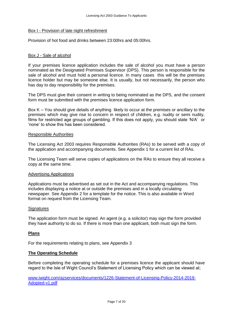#### Box I - Provision of late night refreshment

Provision of hot food and drinks between 23:00hrs and 05:00hrs.

#### Box J - Sale of alcohol

If your premises licence application includes the sale of alcohol you must have a person nominated as the Designated Premises Supervisor (DPS). This person is responsible for the sale of alcohol and must hold a personal licence. In many cases this will be the premises licence holder but may be someone else. It is usually, but not necessarily, the person who has day to day responsibility for the premises.

The DPS must give their consent in writing to being nominated as the DPS, and the consent form must be submitted with the premises licence application form.

Box K – You should give details of anything likely to occur at the premises or ancillary to the premises which may give rise to concern in respect of children, e.g. nudity or semi nudity, films for restricted age groups of gambling. If this does not apply, you should state 'N/A' or 'none' to show this has been considered.

#### Responsible Authorities

The Licensing Act 2003 requires Responsible Authorities (RAs) to be served with a copy of the application and accompanying documents. See Appendix 1 for a current list of RAs.

The Licensing Team will serve copies of applications on the RAs to ensure they all receive a copy at the same time.

#### Advertising Applications

Applications must be advertised as set out in the Act and accompanying regulations. This includes displaying a notice at or outside the premises and in a locally circulating newspaper. See Appendix 2 for a template for the notice. This is also available in Word format on request from the Licensing Team.

#### **Signatures**

The application form must be signed. An agent (e.g. a solicitor) may sign the form provided they have authority to do so. If there is more than one applicant, both must sign the form.

#### **Plans**

For the requirements relating to plans, see Appendix 3

#### **The Operating Schedule**

Before completing the operating schedule for a premises licence the applicant should have regard to the Isle of Wight Council's Statement of Licensing Policy which can be viewed at;

[www.iwight.com/azservices/documents/1226-Statement-of-Licensing-Policy-2014-2019-](http://www.iwight.com/azservices/documents/1226-Statement-of-Licensing-Policy-2014-2019-Adopted-v1.pdf) [Adopted-v1.pdf](http://www.iwight.com/azservices/documents/1226-Statement-of-Licensing-Policy-2014-2019-Adopted-v1.pdf)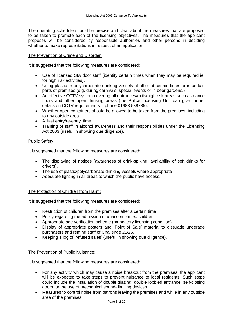The operating schedule should be precise and clear about the measures that are proposed to be taken to promote each of the licensing objectives. The measures that the applicant proposes will be considered by responsible authorities and other persons in deciding whether to make representations in respect of an application.

#### The Prevention of Crime and Disorder:

It is suggested that the following measures are considered:

- Use of licensed SIA door staff (identify certain times when they may be required ie: for high risk activities).
- Using plastic or polycarbonate drinking vessels at all or at certain times or in certain parts of premises (e.g. during carnivals, special events or in beer gardens.)
- An effective CCTV system covering all entrances/exits/high risk areas such as dance floors and other open drinking areas (the Police Licensing Unit can give further details on CCTV requirements – phone 01983 538735).
- Whether open containers should be allowed to be taken from the premises, including to any outside area.
- A 'last entry/re-entry' time.
- Training of staff in alcohol awareness and their responsibilities under the Licensing Act 2003 (useful in showing due diligence).

#### Public Safety:

It is suggested that the following measures are considered:

- The displaying of notices (awareness of drink-spiking, availability of soft drinks for drivers).
- The use of plastic/polycarbonate drinking vessels where appropriate
- Adequate lighting in all areas to which the public have access.

#### The Protection of Children from Harm:

It is suggested that the following measures are considered:

- Restriction of children from the premises after a certain time
- Policy regarding the admission of unaccompanied children
- Appropriate age verification scheme (mandatory licensing condition)
- Display of appropriate posters and 'Point of Sale' material to dissuade underage purchasers and remind staff of Challenge 21/25.
- Keeping a log of 'refused sales' (useful in showing due diligence).

#### The Prevention of Public Nuisance:

It is suggested that the following measures are considered:

- For any activity which may cause a noise breakout from the premises, the applicant will be expected to take steps to prevent nuisance to local residents. Such steps could include the installation of double glazing, double lobbied entrance, self-closing doors, or the use of mechanical sound- limiting devices
- Measures to control noise from patrons leaving the premises and while in any outside area of the premises.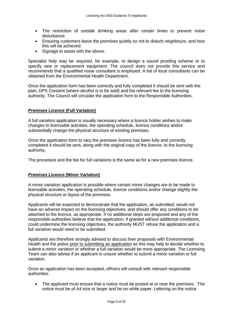- The restriction of outside drinking areas after certain times to prevent noise disturbance.
- Ensuring customers leave the premises quietly so not to disturb neighbours, and how this will be achieved.
- Signage to assist with the above.

Specialist help may be required, for example, to design a sound proofing scheme or to specify new or replacement equipment. The council does not provide this service and recommends that a qualified noise consultant is employed. A list of local consultants can be obtained from the Environmental Health Department.

Once the application form has been correctly and fully completed it should be sent with the plan, DPS Consent (where alcohol is to be sold) and the relevant fee to the licensing authority. The Council will circulate the application form to the Responsible Authorities.

#### **Premises Licence (Full Variation)**

A full variation application is usually necessary where a licence holder wishes to make changes to licensable activities, the operating schedule, licence conditions and/or substantially change the physical structure of existing premises.

Once the application form to vary the premises licence has been fully and correctly completed it should be sent, along with the original copy of the licence, to the licensing authority.

The procedure and the fee for full variations is the same as for a new premises licence.

#### **Premises Licence (Minor Variation)**

A minor variation application is possible where certain minor changes are to be made to licensable activities, the operating schedule, licence conditions and/or change slightly the physical structure or layout of the premises.

Applicants will be expected to demonstrate that the application, as submitted, would not have an adverse impact on the licensing objectives, and should offer any conditions to be attached to the licence, as appropriate. If no additional steps are proposed and any of the responsible authorities believe that the application, if granted without additional conditions, could undermine the licensing objectives, the authority MUST refuse the application and a full variation would need to be submitted.

Applicants are therefore strongly advised to discuss their proposals with Environmental Health and the police prior to submitting an application as this may help to decide whether to submit a minor variation or whether a full variation would be more appropriate. The Licensing Team can also advise if an applicant is unsure whether to submit a minor variation or full variation.

Once an application has been accepted, officers will consult with relevant responsible authorities.

 The applicant must ensure that a notice must be posted at or near the premises. The notice must be of A4 size or larger and be on white paper. Lettering on the notice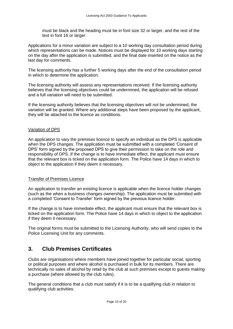must be black and the heading must be in font size 32 or larger, and the rest of the text in font 16 or larger.

Applications for a minor variation are subject to a 10 working day consultation period during which representations can be made. Notices must be displayed for 10 working days starting on the day after the application is submitted, and the final date inserted on the notice as the last day for comments.

The licensing authority has a further 5 working days after the end of the consultation period in which to determine the application.

The licensing authority will assess any representations received. If the licensing authority believes that the licensing objectives could be undermined, the application will be refused and a full variation will need to be submitted.

If the licensing authority believes that the licensing objectives will not be undermined, the variation will be granted. Where any additional steps have been proposed by the applicant, they will be attached to the licence as conditions.

#### Variation of DPS

An application to vary the premises licence to specify an individual as the DPS is applicable when the DPS changes. The application must be submitted with a completed 'Consent of DPS' form signed by the proposed DPS to give their permission to take on the role and responsibility of DPS. If the change is to have immediate effect, the applicant must ensure that the relevant box is ticked on the application form. The Police have 14 days in which to object to the application if they deem it necessary.

#### Transfer of Premises Licence

An application to transfer an existing licence is applicable when the licence holder changes (such as the when a business changes ownership). The application must be submitted with a completed 'Consent to Transfer' form signed by the previous licence holder.

If the change is to have immediate effect, the applicant must ensure that the relevant box is ticked on the application form. The Police have 14 days in which to object to the application if they deem it necessary.

The original forms must be submitted to the Licensing Authority, who will send copies to the Police Licensing Unit for any comments.

## **3. Club Premises Certificates**

Clubs are organisations where members have joined together for particular social, sporting or political purposes and where alcohol is purchased in bulk for its members. There are technically no sales of alcohol by retail by the club at such premises except to guests making a purchase (where allowed by the club rules).

The general conditions that a club must satisfy if it is to be a qualifying club in relation to qualifying club activities: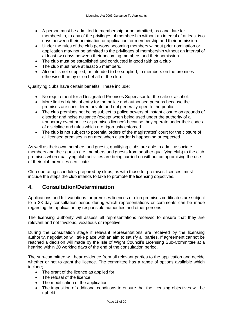- A person must be admitted to membership or be admitted, as candidate for membership, to any of the privileges of membership without an interval of at least two days between their nomination or application for membership and their admission.
- Under the rules of the club persons becoming members without prior nomination or application may not be admitted to the privileges of membership without an interval of at least two days between their becoming members and their admission.
- The club must be established and conducted in good faith as a club
- The club must have at least 25 members.
- Alcohol is not supplied, or intended to be supplied, to members on the premises otherwise than by or on behalf of the club.

Qualifying clubs have certain benefits. These include:

- No requirement for a Designated Premises Supervisor for the sale of alcohol.
- More limited rights of entry for the police and authorised persons because the premises are considered private and not generally open to the public.
- The club premises not being subject to police powers of instant closure on grounds of disorder and noise nuisance (except when being used under the authority of a temporary event notice or premises licence) because they operate under their codes of discipline and rules which are rigorously enforced.
- The club is not subject to potential orders of the magistrates' court for the closure of all licensed premises in an area when disorder is happening or expected.

As well as their own members and guests, qualifying clubs are able to admit associate members and their guests (i.e. members and guests from another qualifying club) to the club premises when qualifying club activities are being carried on without compromising the use of their club premises certificate.

Club operating schedules prepared by clubs, as with those for premises licences, must include the steps the club intends to take to promote the licensing objectives.

## **4. Consultation/Determination**

Applications and full variations for premises licences or club premises certificates are subject to a 28 day consultation period during which representations or comments can be made regarding the application by responsible authorities and other persons.

The licensing authority will assess all representations received to ensure that they are relevant and not frivolous, vexatious or repetitive.

During the consultation stage if relevant representations are received by the licensing authority, negotiation will take place with an aim to satisfy all parties. If agreement cannot be reached a decision will made by the Isle of Wight Council's Licensing Sub-Committee at a hearing within 20 working days of the end of the consultation period.

The sub-committee will hear evidence from all relevant parties to the application and decide whether or not to grant the licence. The committee has a range of options available which include;

- The grant of the licence as applied for
- The refusal of the licence
- The modification of the application
- The imposition of additional conditions to ensure that the licensing objectives will be upheld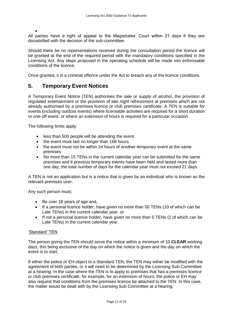$\bullet$ All parties have a right of appeal to the Magistrates' Court within 21 days if they are dissatisfied with the decision of the sub-committee.

Should there be no representations received during the consultation period the licence will be granted at the end of the required period with the mandatory conditions specified in the Licensing Act. Any steps proposed in the operating schedule will be made into enforceable conditions of the licence.

Once granted, it is a criminal offence under the Act to breach any of the licence conditions.

## **5. Temporary Event Notices**

A Temporary Event Notice (TEN) authorises the sale or supply of alcohol, the provision of regulated entertainment or the provision of late night refreshment at premises which are not already authorised by a premises licence or club premises certificate. A TEN is suitable for events (including outdoor events) where licensable activities are required for a short duration or one-off event, or where an extension of hours is required for a particular occasion.

The following limits apply:

- less than 500 people will be attending the event
- the event must last no longer than 168 hours
- the event must not be within 24 hours of another temporary event at the same premises
- No more than 15 TENs in the current calendar year can be submitted for the same premises and if previous temporary events have been held and lasted more than one day, the total number of days for the calendar year must not exceed 21 days.

A TEN is not an application but is a notice that is given by an individual who is known as the relevant premises user.

Any such person must;

- Be over 18 years of age and,
- If a personal licence holder, have given no more than 50 TENs (10 of which can be Late TENs) in the current calendar year, or
- If not a personal licence holder, have given no more than 5 TENs (2 of which can be Late TENs) in the current calendar year.

#### 'Standard' TEN

The person giving the TEN should serve the notice within a minimum of 10 **CLEAR** working days, this being exclusive of the day on which the notice is given and the day on which the event is to start.

If either the police or EH object to a Standard TEN, the TEN may either be modified with the agreement of both parties, or it will need to be determined by the Licensing Sub-Committee at a hearing. In the case where the TEN is to apply to premises that has a premises licence or club premises certificate, for example, for an extension of hours, the police or EH may also request that conditions from the premises licence be attached to the TEN. In this case, the matter would be dealt with by the Licensing Sub Committee at a hearing.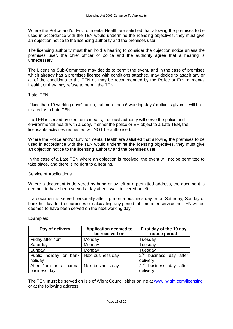Where the Police and/or Environmental Health are satisfied that allowing the premises to be used in accordance with the TEN would undermine the licensing objectives, they must give an objection notice to the licensing authority and the premises user.

The licensing authority must then hold a hearing to consider the objection notice unless the premises user, the chief officer of police and the authority agree that a hearing is unnecessary.

The Licensing Sub-Committee may decide to permit the event, and in the case of premises which already has a premises licence with conditions attached, may decide to attach any or all of the conditions to the TEN as may be recommended by the Police or Environmental Health, or they may refuse to permit the TEN.

#### 'Late' TEN

If less than 10 working days' notice, but more than 5 working days' notice is given, it will be treated as a Late TEN.

If a TEN is served by electronic means, the local authority will serve the police and environmental health with a copy. If either the police or EH object to a Late TEN, the licensable activities requested will NOT be authorised.

Where the Police and/or Environmental Health are satisfied that allowing the premises to be used in accordance with the TEN would undermine the licensing objectives, they must give an objection notice to the licensing authority and the premises user.

In the case of a Late TEN where an objection is received, the event will not be permitted to take place, and there is no right to a hearing.

#### Service of Applications

Where a document is delivered by hand or by left at a permitted address, the document is deemed to have been served a day after it was delivered or left.

If a document is served personally after 4pm on a business day or on Saturday, Sunday or bank holiday, for the purposes of calculating any period of time after service the TEN will be deemed to have been served on the next working day.

| Day of delivery                                       | <b>Application deemed to</b><br>be received on | First day of the 10 day<br>notice period             |  |  |
|-------------------------------------------------------|------------------------------------------------|------------------------------------------------------|--|--|
| Friday after 4pm                                      | Monday                                         | Tuesday                                              |  |  |
| Saturday                                              | Monday                                         | Tuesday                                              |  |  |
| Sunday                                                | Monday                                         | Tuesday                                              |  |  |
| Public holiday or bank   Next business day<br>holiday |                                                | $2nd$ business day<br>after<br>delivery              |  |  |
| After 4pm on a normal<br>business day                 | Next business day                              | 2 <sup>nd</sup><br>business day<br>after<br>delivery |  |  |

Examples:

The TEN **must** be served on Isle of Wight Council either online at [www.iwight.com/licensing](http://www.iwight.com/licensing) or at the following address: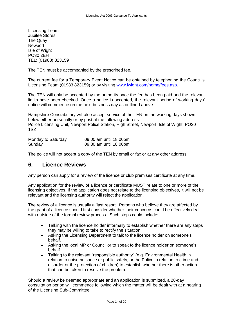Licensing Team Jubilee Stores The Quay **Newport** Isle of Wight PO30 2EH TEL: (01983) 823159

The TEN must be accompanied by the prescribed fee.

The current fee for a Temporary Event Notice can be obtained by telephoning the Council's Licensing Team (01983 823159) or by visiting [www.iwight.com/home/fees.asp.](http://www.iwight.com/home/fees.asp)

The TEN will only be accepted by the authority once the fee has been paid and the relevant limits have been checked. Once a notice is accepted, the relevant period of working days' notice will commence on the next business day as outlined above.

Hampshire Constabulary will also accept service of the TEN on the working days shown below either personally or by post at the following address: Police Licensing Unit, Newport Police Station, High Street, Newport, Isle of Wight, PO30 1SZ

| Monday to Saturday | 09:00 am until 18:00pm |
|--------------------|------------------------|
| Sunday             | 09:30 am until 18:00pm |

The police will not accept a copy of the TEN by email or fax or at any other address.

### **6. Licence Reviews**

Any person can apply for a review of the licence or club premises certificate at any time.

Any application for the review of a licence or certificate MUST relate to one or more of the licensing objectives. If the application does not relate to the licensing objectives, it will not be relevant and the licensing authority will reject the application.

The review of a licence is usually a 'last resort'. Persons who believe they are affected by the grant of a licence should first consider whether their concerns could be effectively dealt with outside of the formal review process. Such steps could include:

- Talking with the licence holder informally to establish whether there are any steps they may be willing to take to rectify the situation.
- Asking the Licensing Department to talk to the licence holder on someone's behalf.
- Asking the local MP or Councillor to speak to the licence holder on someone's behalf.
- Talking to the relevant "responsible authority" (e.g. Environmental Health in relation to noise nuisance or public safety, or the Police in relation to crime and disorder or the protection of children) to establish whether there is other action that can be taken to resolve the problem.

Should a review be deemed appropriate and an application is submitted, a 28-day consultation period will commence following which the matter will be dealt with at a hearing of the Licensing Sub-Committee.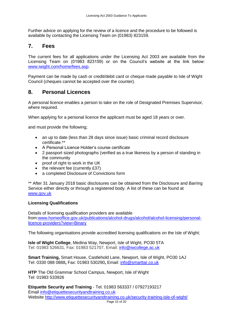Further advice on applying for the review of a licence and the procedure to be followed is available by contacting the Licensing Team on (01983) 823159.

### **7. Fees**

The current fees for all applications under the Licensing Act 2003 are available from the Licensing Team on (01983 823159) or on the Council's website at the link below: [www.iwight.com/home/fees.asp.](http://www.iwight.com/home/fees.asp)

Payment can be made by cash or credit/debit card or cheque made payable to Isle of Wight Council (cheques cannot be accepted over the counter).

## **8. Personal Licences**

A personal licence enables a person to take on the role of Designated Premises Supervisor, where required.

When applying for a personal licence the applicant must be aged 18 years or over.

and must provide the following;

- an up to date (less than 28 days since issue) basic criminal record disclosure certificate.\*\*
- A Personal Licence Holder's course certificate
- 2 passport sized photographs (verified as a true likeness by a person of standing in the community
- proof of right to work in the UK
- the relevant fee (currently £37)
- a completed Disclosure of Convictions form

\*\* After 31 January 2018 basic disclosures can be obtained from the Disclosure and Barring Service either directly or through a registered body. A list of these can be found at [www.gov.uk](http://www.gov.uk/)

#### **Licensing Qualifications**

Details of licensing qualification providers are available from[:www.homeoffice.gov.uk/publications/alcohol-drugs/alcohol/alcohol-licensing/personal](http://www.homeoffice.gov.uk/publications/alcohol-drugs/alcohol/alcohol-licensing/personal-licence-providers?view=Binary)[licence-providers?view=Binary](http://www.homeoffice.gov.uk/publications/alcohol-drugs/alcohol/alcohol-licensing/personal-licence-providers?view=Binary)

The following organisations provide accredited licensing qualifications on the Isle of Wight;

**Isle of Wight College**, Medina Way, Newport, Isle of Wight, PO30 5TA Tel: 01983 526631, Fax: 01983 521707, Email: [info@iwcollege.ac.uk](mailto:info@iwcollege.ac.uk)

**Smart Training,** Smart House, Castlehold Lane, Newport, Isle of Wight, PO30 1AJ Tel: 0330 088 0888**,** Fax: 01983 530290**,** Email: [info@smarttar.co.uk](mailto:info@smarttar.co.uk)

**HTP** The Old Grammar School Campus, Newport, Isle of Wight Tel: 01983 533926

**Etiquette Security and Training** - Tel. 01983 563337 / 07927193217 Email [info@etiquettesecurityandtraining.co.uk](mailto:info@etiquettesecurityandtraining.co.uk) Website<http://www.etiquettesecurityandtraining.co.uk/security-training-isle-of-wight/>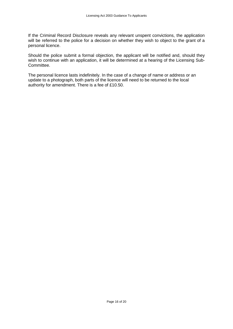If the Criminal Record Disclosure reveals any relevant unspent convictions, the application will be referred to the police for a decision on whether they wish to object to the grant of a personal licence.

Should the police submit a formal objection, the applicant will be notified and, should they wish to continue with an application, it will be determined at a hearing of the Licensing Sub-Committee.

The personal licence lasts indefinitely. In the case of a change of name or address or an update to a photograph, both parts of the licence will need to be returned to the local authority for amendment. There is a fee of £10.50.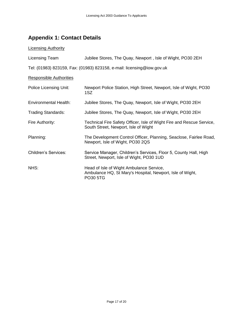## **Appendix 1: Contact Details**

#### **Licensing Authority**

| Licensing Team | Jubilee Stores, The Quay, Newport, Isle of Wight, PO30 2EH |  |  |
|----------------|------------------------------------------------------------|--|--|
|                |                                                            |  |  |
|                |                                                            |  |  |

Tel: (01983) 823159, Fax: (01983) 823158, e-mail: licensing@iow.gov.uk

#### Responsible Authorities

| Police Licensing Unit:    | Newport Police Station, High Street, Newport, Isle of Wight, PO30<br>1SZ                                          |
|---------------------------|-------------------------------------------------------------------------------------------------------------------|
| Environmental Health:     | Jubilee Stores, The Quay, Newport, Isle of Wight, PO30 2EH                                                        |
| <b>Trading Standards:</b> | Jubilee Stores, The Quay, Newport, Isle of Wight, PO30 2EH                                                        |
| Fire Authority:           | Technical Fire Safety Officer, Isle of Wight Fire and Rescue Service,<br>South Street, Newport, Isle of Wight     |
| Planning:                 | The Development Control Officer, Planning, Seaclose, Fairlee Road,<br>Newport, Isle of Wight, PO30 2QS            |
| Children's Services:      | Service Manager, Children's Services, Floor 5, County Hall, High<br>Street, Newport, Isle of Wight, PO30 1UD      |
| NHS:                      | Head of Isle of Wight Ambulance Service,<br>Ambulance HQ, St Mary's Hospital, Newport, Isle of Wight,<br>PO30 5TG |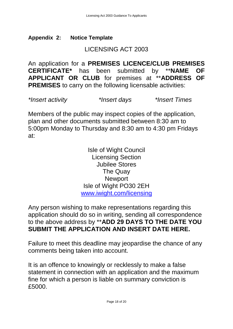## **Appendix 2: Notice Template**

## LICENSING ACT 2003

An application for a **PREMISES LICENCE/CLUB PREMISES CERTIFICATE\*** has been submitted by \*\***NAME OF APPLICANT OR CLUB** for premises at \*\***ADDRESS OF PREMISES** to carry on the following licensable activities:

*\*Insert activity \*Insert days \*Insert Times*

Members of the public may inspect copies of the application, plan and other documents submitted between 8:30 am to 5:00pm Monday to Thursday and 8:30 am to 4:30 pm Fridays at:

> Isle of Wight Council Licensing Section Jubilee Stores The Quay Newport Isle of Wight PO30 2EH [www.iwight.com/licensing](http://www.iwight.com/licensing)

Any person wishing to make representations regarding this application should do so in writing, sending all correspondence to the above address by \*\***ADD 29 DAYS TO THE DATE YOU SUBMIT THE APPLICATION AND INSERT DATE HERE.**

Failure to meet this deadline may jeopardise the chance of any comments being taken into account.

It is an offence to knowingly or recklessly to make a false statement in connection with an application and the maximum fine for which a person is liable on summary conviction is £5000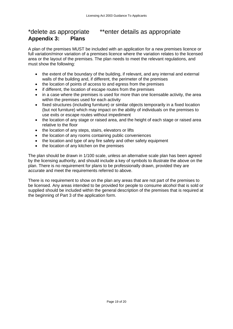## \*delete as appropriate \*\*enter details as appropriate **Appendix 3: Plans**

A plan of the premises MUST be included with an application for a new premises licence or full variation/minor variation of a premises licence where the variation relates to the licensed area or the layout of the premises. The plan needs to meet the relevant regulations, and must show the following:

- the extent of the boundary of the building, if relevant, and any internal and external walls of the building and, if different, the perimeter of the premises
- the location of points of access to and egress from the premises
- if different, the location of escape routes from the premises
- in a case where the premises is used for more than one licensable activity, the area within the premises used for each activity
- fixed structures (including furniture) or similar objects temporarily in a fixed location (but not furniture) which may impact on the ability of individuals on the premises to use exits or escape routes without impediment
- the location of any stage or raised area, and the height of each stage or raised area relative to the floor
- the location of any steps, stairs, elevators or lifts
- the location of any rooms containing public conveniences
- the location and type of any fire safety and other safety equipment
- the location of any kitchen on the premises

The plan should be drawn in 1/100 scale, unless an alternative scale plan has been agreed by the licensing authority, and should include a key of symbols to illustrate the above on the plan. There is no requirement for plans to be professionally drawn, provided they are accurate and meet the requirements referred to above.

There is no requirement to show on the plan any areas that are not part of the premises to be licensed. Any areas intended to be provided for people to consume alcohol that is sold or supplied should be included within the general description of the premises that is required at the beginning of Part 3 of the application form.